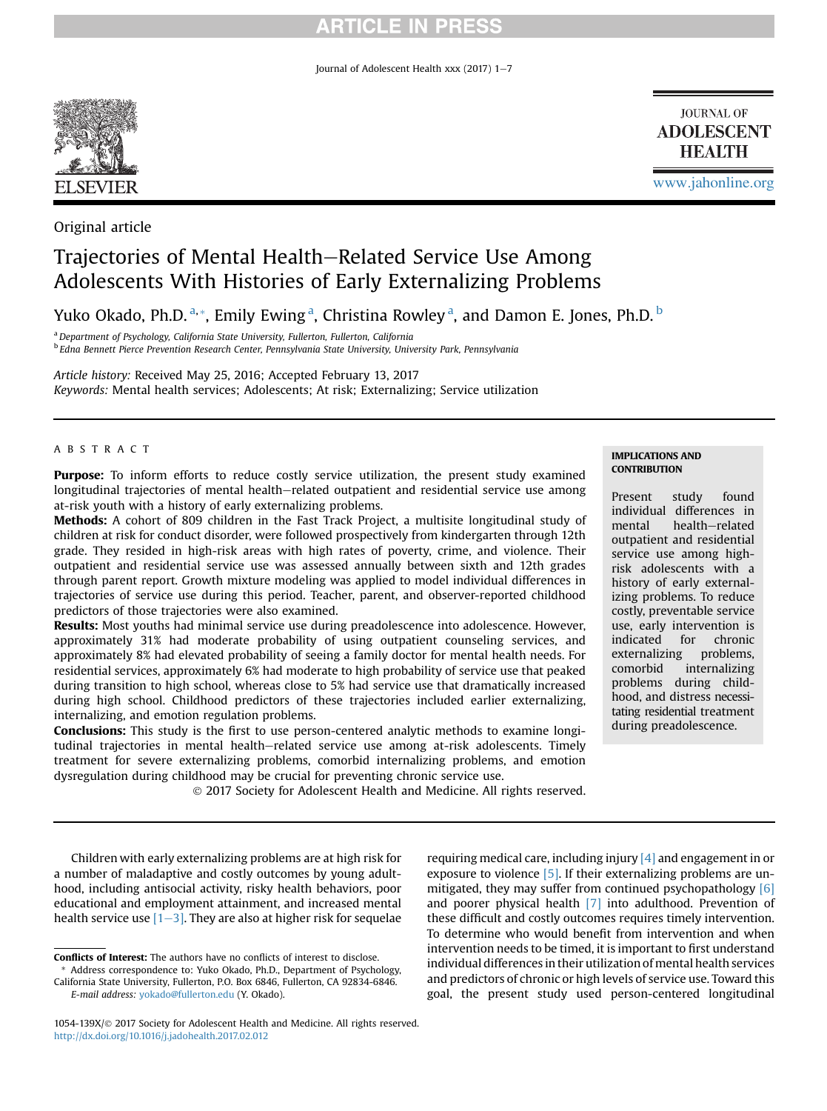## **ARTICLE IN PRESS**

Journal of Adolescent Health xxx (2017)  $1-7$ 



Original article

# Trajectories of Mental Health–Related Service Use Among Adolescents With Histories of Early Externalizing Problems

Yuko Okado, Ph.D. <sup>a, \*</sup>, Emily Ewing <sup>a</sup>, Christina Rowley <sup>a</sup>, and Damon E. Jones, Ph.D. <sup>b</sup>

<sup>a</sup> Department of Psychology, California State University, Fullerton, Fullerton, California <sup>b</sup> Edna Bennett Pierce Prevention Research Center, Pennsylvania State University, University Park, Pennsylvania

Article history: Received May 25, 2016; Accepted February 13, 2017 Keywords: Mental health services; Adolescents; At risk; Externalizing; Service utilization

### ABSTRACT

Purpose: To inform efforts to reduce costly service utilization, the present study examined longitudinal trajectories of mental health–related outpatient and residential service use among at-risk youth with a history of early externalizing problems.

Methods: A cohort of 809 children in the Fast Track Project, a multisite longitudinal study of children at risk for conduct disorder, were followed prospectively from kindergarten through 12th grade. They resided in high-risk areas with high rates of poverty, crime, and violence. Their outpatient and residential service use was assessed annually between sixth and 12th grades through parent report. Growth mixture modeling was applied to model individual differences in trajectories of service use during this period. Teacher, parent, and observer-reported childhood predictors of those trajectories were also examined.

Results: Most youths had minimal service use during preadolescence into adolescence. However, approximately 31% had moderate probability of using outpatient counseling services, and approximately 8% had elevated probability of seeing a family doctor for mental health needs. For residential services, approximately 6% had moderate to high probability of service use that peaked during transition to high school, whereas close to 5% had service use that dramatically increased during high school. Childhood predictors of these trajectories included earlier externalizing, internalizing, and emotion regulation problems.

Conclusions: This study is the first to use person-centered analytic methods to examine longitudinal trajectories in mental health–related service use among at-risk adolescents. Timely treatment for severe externalizing problems, comorbid internalizing problems, and emotion dysregulation during childhood may be crucial for preventing chronic service use.

2017 Society for Adolescent Health and Medicine. All rights reserved.

#### IMPLICATIONS AND **CONTRIBUTION**

Present study found individual differences in mental health-related outpatient and residential service use among highrisk adolescents with a history of early externalizing problems. To reduce costly, preventable service use, early intervention is indicated for chronic externalizing problems, comorbid internalizing problems during childhood, and distress necessitating residential treatment during preadolescence.

[www.jahonline.org](http://www.jahonline.org)

**JOURNAL OF ADOLESCENT HEALTH** 

Children with early externalizing problems are at high risk for a number of maladaptive and costly outcomes by young adulthood, including antisocial activity, risky health behaviors, poor educational and employment attainment, and increased mental health service use  $[1-3]$ . They are also at higher risk for sequelae

California State University, Fullerton, P.O. Box 6846, Fullerton, CA 92834-6846. E-mail address: [yokado@fullerton.edu](mailto:yokado@fullerton.edu) (Y. Okado).

requiring medical care, including injury  $[4]$  and engagement in or exposure to violence [5]. If their externalizing problems are unmitigated, they may suffer from continued psychopathology [6] and poorer physical health [7] into adulthood. Prevention of these difficult and costly outcomes requires timely intervention. To determine who would benefit from intervention and when intervention needs to be timed, it is important to first understand individual differences in their utilization of mental health services and predictors of chronic or high levels of service use. Toward this goal, the present study used person-centered longitudinal

Conflicts of Interest: The authors have no conflicts of interest to disclose. Address correspondence to: Yuko Okado, Ph.D., Department of Psychology,

<sup>1054-139</sup>X/© 2017 Society for Adolescent Health and Medicine. All rights reserved. <http://dx.doi.org/10.1016/j.jadohealth.2017.02.012>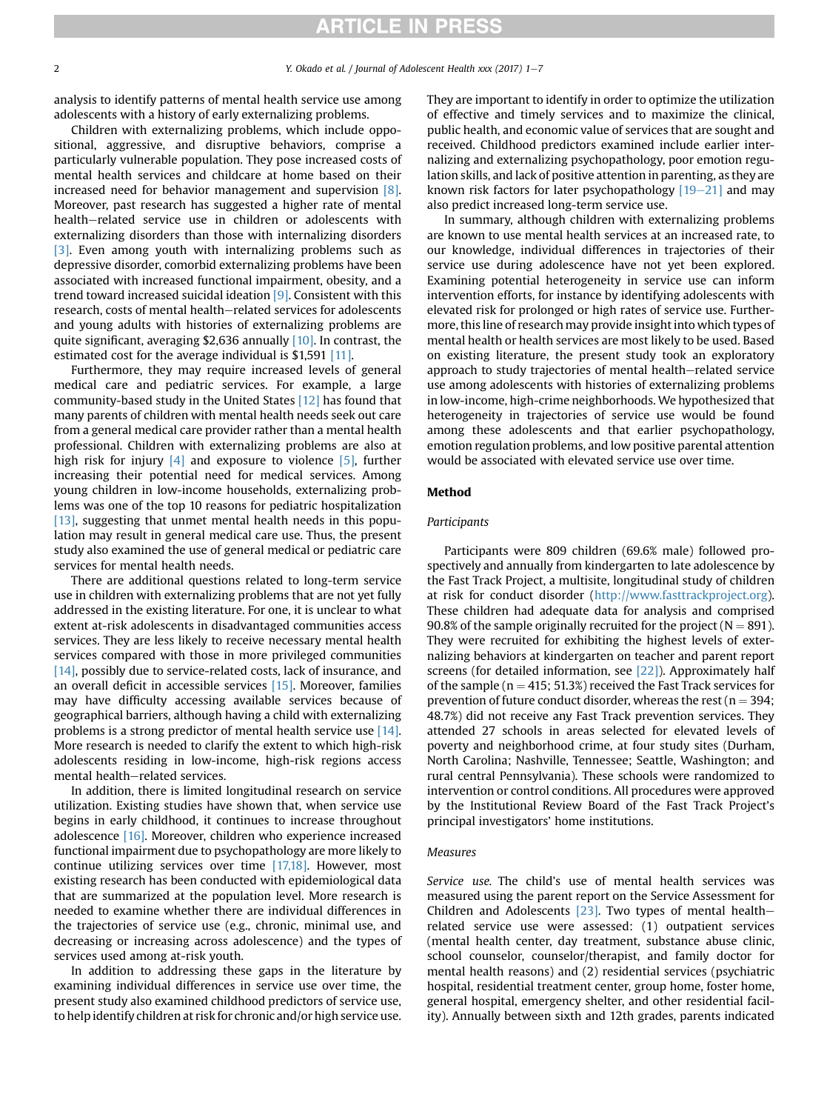# **ARTICLE IN PRESS**

analysis to identify patterns of mental health service use among adolescents with a history of early externalizing problems.

Children with externalizing problems, which include oppositional, aggressive, and disruptive behaviors, comprise a particularly vulnerable population. They pose increased costs of mental health services and childcare at home based on their increased need for behavior management and supervision [8]. Moreover, past research has suggested a higher rate of mental health-related service use in children or adolescents with externalizing disorders than those with internalizing disorders [3]. Even among youth with internalizing problems such as depressive disorder, comorbid externalizing problems have been associated with increased functional impairment, obesity, and a trend toward increased suicidal ideation [9]. Consistent with this research, costs of mental health-related services for adolescents and young adults with histories of externalizing problems are quite significant, averaging \$2,636 annually [10]. In contrast, the estimated cost for the average individual is \$1,591 [11].

Furthermore, they may require increased levels of general medical care and pediatric services. For example, a large community-based study in the United States [12] has found that many parents of children with mental health needs seek out care from a general medical care provider rather than a mental health professional. Children with externalizing problems are also at high risk for injury  $[4]$  and exposure to violence  $[5]$ , further increasing their potential need for medical services. Among young children in low-income households, externalizing problems was one of the top 10 reasons for pediatric hospitalization [13], suggesting that unmet mental health needs in this population may result in general medical care use. Thus, the present study also examined the use of general medical or pediatric care services for mental health needs.

There are additional questions related to long-term service use in children with externalizing problems that are not yet fully addressed in the existing literature. For one, it is unclear to what extent at-risk adolescents in disadvantaged communities access services. They are less likely to receive necessary mental health services compared with those in more privileged communities [14], possibly due to service-related costs, lack of insurance, and an overall deficit in accessible services [15]. Moreover, families may have difficulty accessing available services because of geographical barriers, although having a child with externalizing problems is a strong predictor of mental health service use [14]. More research is needed to clarify the extent to which high-risk adolescents residing in low-income, high-risk regions access mental health-related services.

In addition, there is limited longitudinal research on service utilization. Existing studies have shown that, when service use begins in early childhood, it continues to increase throughout adolescence [16]. Moreover, children who experience increased functional impairment due to psychopathology are more likely to continue utilizing services over time [17,18]. However, most existing research has been conducted with epidemiological data that are summarized at the population level. More research is needed to examine whether there are individual differences in the trajectories of service use (e.g., chronic, minimal use, and decreasing or increasing across adolescence) and the types of services used among at-risk youth.

In addition to addressing these gaps in the literature by examining individual differences in service use over time, the present study also examined childhood predictors of service use, to help identify children at risk for chronic and/or high service use.

They are important to identify in order to optimize the utilization of effective and timely services and to maximize the clinical, public health, and economic value of services that are sought and received. Childhood predictors examined include earlier internalizing and externalizing psychopathology, poor emotion regulation skills, and lack of positive attention in parenting, as they are known risk factors for later psychopathology  $[19-21]$  and may also predict increased long-term service use.

In summary, although children with externalizing problems are known to use mental health services at an increased rate, to our knowledge, individual differences in trajectories of their service use during adolescence have not yet been explored. Examining potential heterogeneity in service use can inform intervention efforts, for instance by identifying adolescents with elevated risk for prolonged or high rates of service use. Furthermore, this line of research may provide insight into which types of mental health or health services are most likely to be used. Based on existing literature, the present study took an exploratory approach to study trajectories of mental health-related service use among adolescents with histories of externalizing problems in low-income, high-crime neighborhoods. We hypothesized that heterogeneity in trajectories of service use would be found among these adolescents and that earlier psychopathology, emotion regulation problems, and low positive parental attention would be associated with elevated service use over time.

### Method

#### **Participants**

Participants were 809 children (69.6% male) followed prospectively and annually from kindergarten to late adolescence by the Fast Track Project, a multisite, longitudinal study of children at risk for conduct disorder [\(http://www.fasttrackproject.org\)](http://www.fasttrackproject.org). These children had adequate data for analysis and comprised 90.8% of the sample originally recruited for the project ( $N = 891$ ). They were recruited for exhibiting the highest levels of externalizing behaviors at kindergarten on teacher and parent report screens (for detailed information, see [22]). Approximately half of the sample ( $n = 415$ ; 51.3%) received the Fast Track services for prevention of future conduct disorder, whereas the rest ( $n = 394$ ; 48.7%) did not receive any Fast Track prevention services. They attended 27 schools in areas selected for elevated levels of poverty and neighborhood crime, at four study sites (Durham, North Carolina; Nashville, Tennessee; Seattle, Washington; and rural central Pennsylvania). These schools were randomized to intervention or control conditions. All procedures were approved by the Institutional Review Board of the Fast Track Project's principal investigators' home institutions.

#### Measures

Service use. The child's use of mental health services was measured using the parent report on the Service Assessment for Children and Adolescents  $[23]$ . Two types of mental healthrelated service use were assessed: (1) outpatient services (mental health center, day treatment, substance abuse clinic, school counselor, counselor/therapist, and family doctor for mental health reasons) and (2) residential services (psychiatric hospital, residential treatment center, group home, foster home, general hospital, emergency shelter, and other residential facility). Annually between sixth and 12th grades, parents indicated